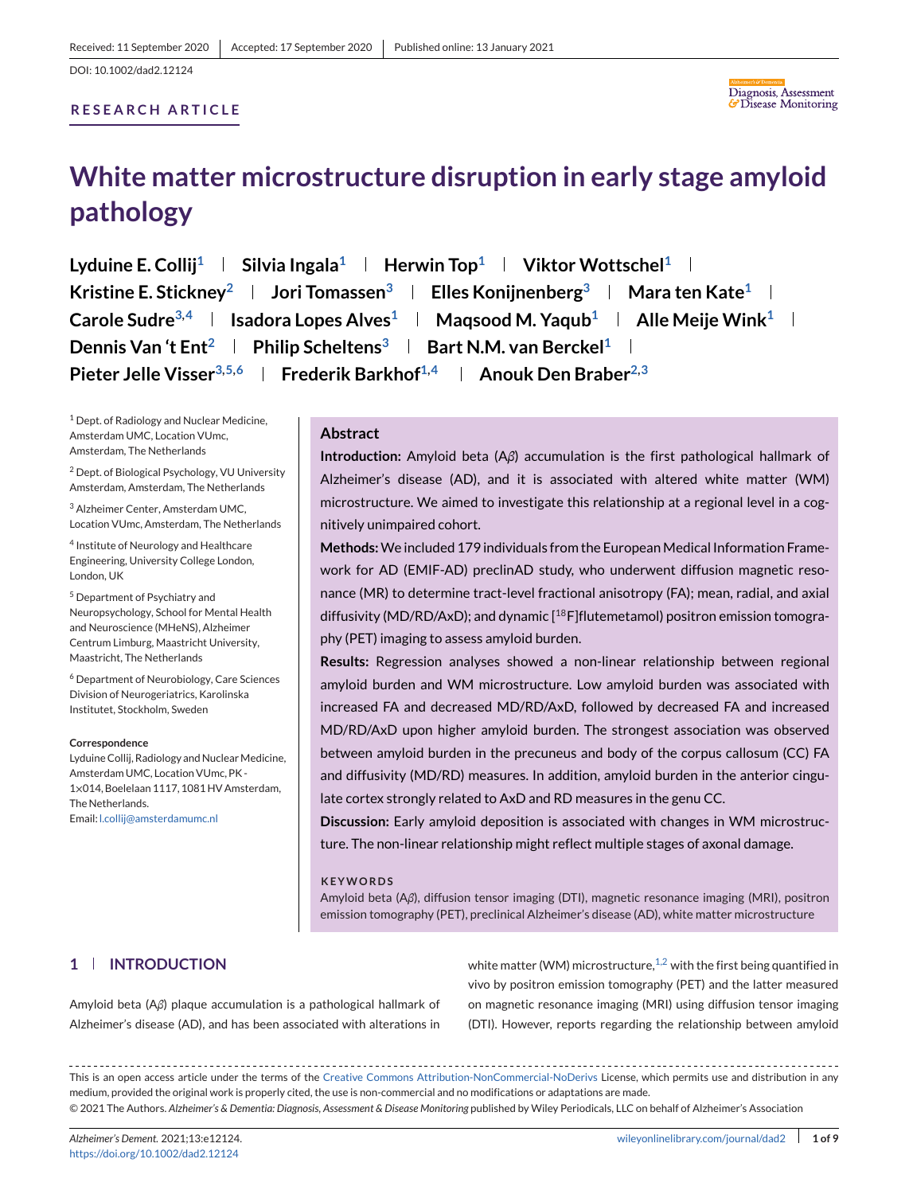# **RESEARCH ARTICLE**



# **White matter microstructure disruption in early stage amyloid pathology**

Lyduine E. Collij<sup>1</sup> | Silvia Ingala<sup>1</sup> | Herwin Top<sup>1</sup> | Viktor Wottschel<sup>1</sup> | **Kristine E. Stickney**<sup>2</sup> **Jori Tomassen**<sup>3</sup> **Lelles Konijnenberg**<sup>3</sup> **Le Mara ten Kate<sup>1</sup> Le</sub> Carole Sudre**<sup>3,4</sup> **Isadora Lopes Alves**<sup>1</sup> **Magsood M. Yaqub**<sup>1</sup> **Alle Meije Wink**<sup>1</sup> **I Dennis Van 't Ent<sup>2</sup> | Philip Scheltens<sup>3</sup> | Bart N.M. van Berckel<sup>1</sup> | Pieter Jelle Visser**<sup>3,5,6</sup> | Frederik Barkhof<sup>1,4</sup> | Anouk Den Braber<sup>2,3</sup>

<sup>1</sup> Dept. of Radiology and Nuclear Medicine, Amsterdam UMC, Location VUmc, Amsterdam, The Netherlands

<sup>2</sup> Dept. of Biological Psychology, VU University Amsterdam, Amsterdam, The Netherlands

<sup>3</sup> Alzheimer Center, Amsterdam UMC, Location VUmc, Amsterdam, The Netherlands

<sup>4</sup> Institute of Neurology and Healthcare Engineering, University College London, London, UK

<sup>5</sup> Department of Psychiatry and Neuropsychology, School for Mental Health and Neuroscience (MHeNS), Alzheimer Centrum Limburg, Maastricht University, Maastricht, The Netherlands

<sup>6</sup> Department of Neurobiology, Care Sciences Division of Neurogeriatrics, Karolinska Institutet, Stockholm, Sweden

#### **Correspondence**

Lyduine Collij, Radiology and Nuclear Medicine, Amsterdam UMC, Location VUmc, PK - 1×014, Boelelaan 1117, 1081 HV Amsterdam, The Netherlands. Email: [l.collij@amsterdamumc.nl](mailto:l.collij@amsterdamumc.nl)

#### **Abstract**

**Introduction:** Amyloid beta (A*β*) accumulation is the first pathological hallmark of Alzheimer's disease (AD), and it is associated with altered white matter (WM) microstructure. We aimed to investigate this relationship at a regional level in a cognitively unimpaired cohort.

**Methods:**We included 179 individuals from the European Medical Information Framework for AD (EMIF-AD) preclinAD study, who underwent diffusion magnetic resonance (MR) to determine tract-level fractional anisotropy (FA); mean, radial, and axial diffusivity (MD/RD/AxD); and dynamic  $[18F]$ flutemetamol) positron emission tomography (PET) imaging to assess amyloid burden.

**Results:** Regression analyses showed a non-linear relationship between regional amyloid burden and WM microstructure. Low amyloid burden was associated with increased FA and decreased MD/RD/AxD, followed by decreased FA and increased MD/RD/AxD upon higher amyloid burden. The strongest association was observed between amyloid burden in the precuneus and body of the corpus callosum (CC) FA and diffusivity (MD/RD) measures. In addition, amyloid burden in the anterior cingulate cortex strongly related to AxD and RD measures in the genu CC.

**Discussion:** Early amyloid deposition is associated with changes in WM microstructure. The non-linear relationship might reflect multiple stages of axonal damage.

#### **KEYWORDS**

Amyloid beta (A*β*), diffusion tensor imaging (DTI), magnetic resonance imaging (MRI), positron emission tomography (PET), preclinical Alzheimer's disease (AD), white matter microstructure

# **1 INTRODUCTION**

Amyloid beta (A*β*) plaque accumulation is a pathological hallmark of Alzheimer's disease (AD), and has been associated with alterations in white matter (WM) microstructure, $1,2$  with the first being quantified in vivo by positron emission tomography (PET) and the latter measured on magnetic resonance imaging (MRI) using diffusion tensor imaging (DTI). However, reports regarding the relationship between amyloid

This is an open access article under the terms of the [Creative Commons Attribution-NonCommercial-NoDerivs](http://creativecommons.org/licenses/by-nc-nd/4.0/) License, which permits use and distribution in any medium, provided the original work is properly cited, the use is non-commercial and no modifications or adaptations are made. © 2021 The Authors. *Alzheimer's & Dementia: Diagnosis, Assessment & Disease Monitoring* published by Wiley Periodicals, LLC on behalf of Alzheimer's Association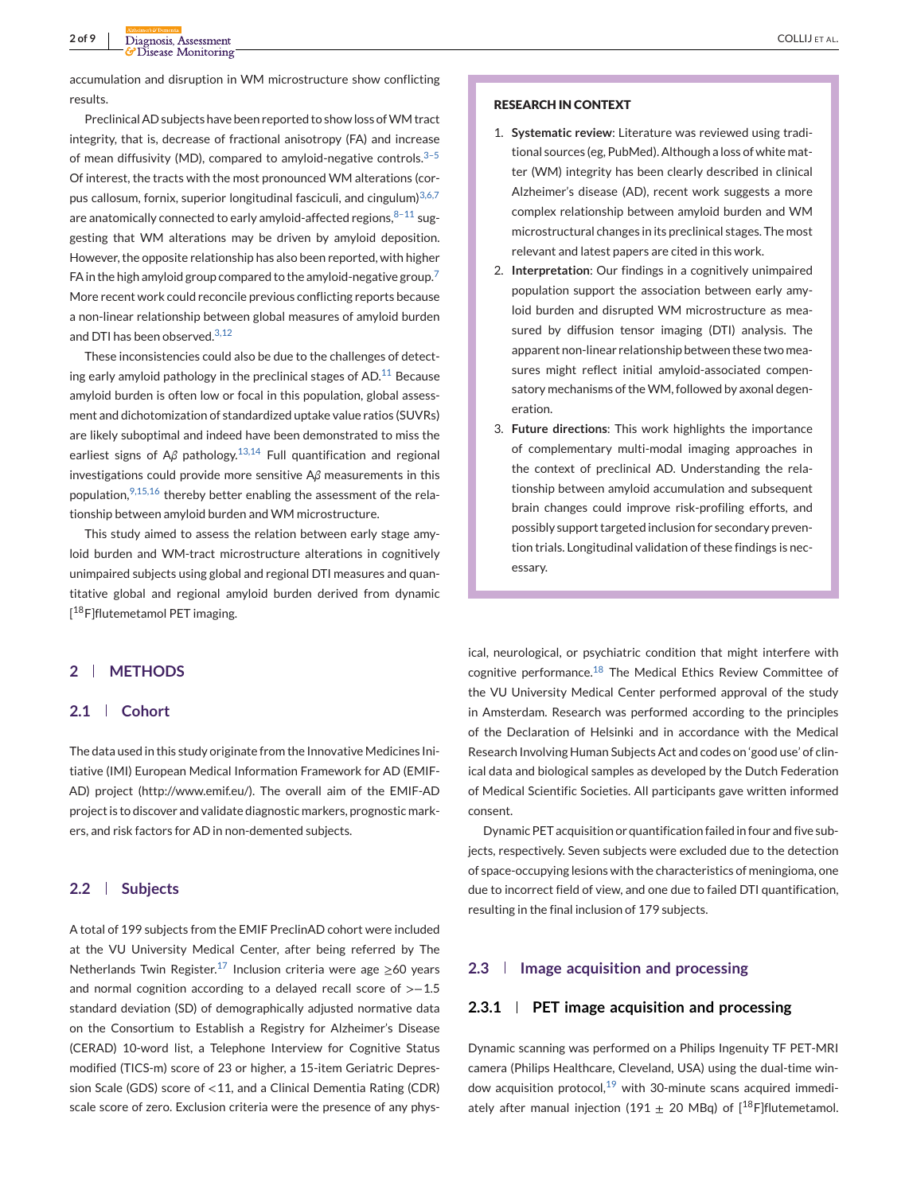accumulation and disruption in WM microstructure show conflicting results.

Preclinical AD subjects have been reported to show loss of WM tract integrity, that is, decrease of fractional anisotropy (FA) and increase of mean diffusivity (MD), compared to amyloid-negative controls. $3-5$ Of interest, the tracts with the most pronounced WM alterations (cor-pus callosum, fornix, superior longitudinal fasciculi, and cingulum)<sup>[3,6,7](#page-7-0)</sup> are anatomically connected to early amyloid-affected regions.  $8-11$  suggesting that WM alterations may be driven by amyloid deposition. However, the opposite relationship has also been reported, with higher FA in the high amyloid group compared to the amyloid-negative group.<sup>[7](#page-7-0)</sup> More recent work could reconcile previous conflicting reports because a non-linear relationship between global measures of amyloid burden and DTI has been observed.<sup>[3,12](#page-7-0)</sup>

These inconsistencies could also be due to the challenges of detecting early amyloid pathology in the preclinical stages of AD. $11$  Because amyloid burden is often low or focal in this population, global assessment and dichotomization of standardized uptake value ratios (SUVRs) are likely suboptimal and indeed have been demonstrated to miss the earliest signs of A*β* pathology.[13,14](#page-7-0) Full quantification and regional investigations could provide more sensitive A*β* measurements in this population,  $9,15,16$  thereby better enabling the assessment of the relationship between amyloid burden and WM microstructure.

This study aimed to assess the relation between early stage amyloid burden and WM-tract microstructure alterations in cognitively unimpaired subjects using global and regional DTI measures and quantitative global and regional amyloid burden derived from dynamic [<sup>18</sup>F]flutemetamol PET imaging.

#### **RESEARCH IN CONTEXT**

- 1. **Systematic review**: Literature was reviewed using traditional sources (eg, PubMed). Although a loss of white matter (WM) integrity has been clearly described in clinical Alzheimer's disease (AD), recent work suggests a more complex relationship between amyloid burden and WM microstructural changes in its preclinical stages. The most relevant and latest papers are cited in this work.
- 2. **Interpretation**: Our findings in a cognitively unimpaired population support the association between early amyloid burden and disrupted WM microstructure as measured by diffusion tensor imaging (DTI) analysis. The apparent non-linear relationship between these two measures might reflect initial amyloid-associated compensatory mechanisms of theWM, followed by axonal degeneration.
- 3. **Future directions**: This work highlights the importance of complementary multi-modal imaging approaches in the context of preclinical AD. Understanding the relationship between amyloid accumulation and subsequent brain changes could improve risk-profiling efforts, and possibly support targeted inclusion for secondary prevention trials. Longitudinal validation of these findings is necessary.

## **2 METHODS**

## **2.1 Cohort**

The data used in this study originate from the Innovative Medicines Initiative (IMI) European Medical Information Framework for AD (EMIF-AD) project (http://www.emif.eu/). The overall aim of the EMIF-AD project is to discover and validate diagnostic markers, prognostic markers, and risk factors for AD in non-demented subjects.

#### **2.2 Subjects**

A total of 199 subjects from the EMIF PreclinAD cohort were included at the VU University Medical Center, after being referred by The Netherlands Twin Register.<sup>[17](#page-7-0)</sup> Inclusion criteria were age ≥60 years and normal cognition according to a delayed recall score of >−1.5 standard deviation (SD) of demographically adjusted normative data on the Consortium to Establish a Registry for Alzheimer's Disease (CERAD) 10-word list, a Telephone Interview for Cognitive Status modified (TICS-m) score of 23 or higher, a 15-item Geriatric Depression Scale (GDS) score of <11, and a Clinical Dementia Rating (CDR) scale score of zero. Exclusion criteria were the presence of any physical, neurological, or psychiatric condition that might interfere with cognitive performance.<sup>[18](#page-7-0)</sup> The Medical Ethics Review Committee of the VU University Medical Center performed approval of the study in Amsterdam. Research was performed according to the principles of the Declaration of Helsinki and in accordance with the Medical Research Involving Human Subjects Act and codes on 'good use' of clinical data and biological samples as developed by the Dutch Federation of Medical Scientific Societies. All participants gave written informed consent.

Dynamic PET acquisition or quantification failed in four and five subjects, respectively. Seven subjects were excluded due to the detection of space-occupying lesions with the characteristics of meningioma, one due to incorrect field of view, and one due to failed DTI quantification, resulting in the final inclusion of 179 subjects.

#### **2.3 Image acquisition and processing**

## **2.3.1 PET image acquisition and processing**

Dynamic scanning was performed on a Philips Ingenuity TF PET-MRI camera (Philips Healthcare, Cleveland, USA) using the dual-time window acquisition protocol, $19$  with 30-minute scans acquired immediately after manual injection (191  $\pm$  20 MBq) of [<sup>18</sup>F]flutemetamol.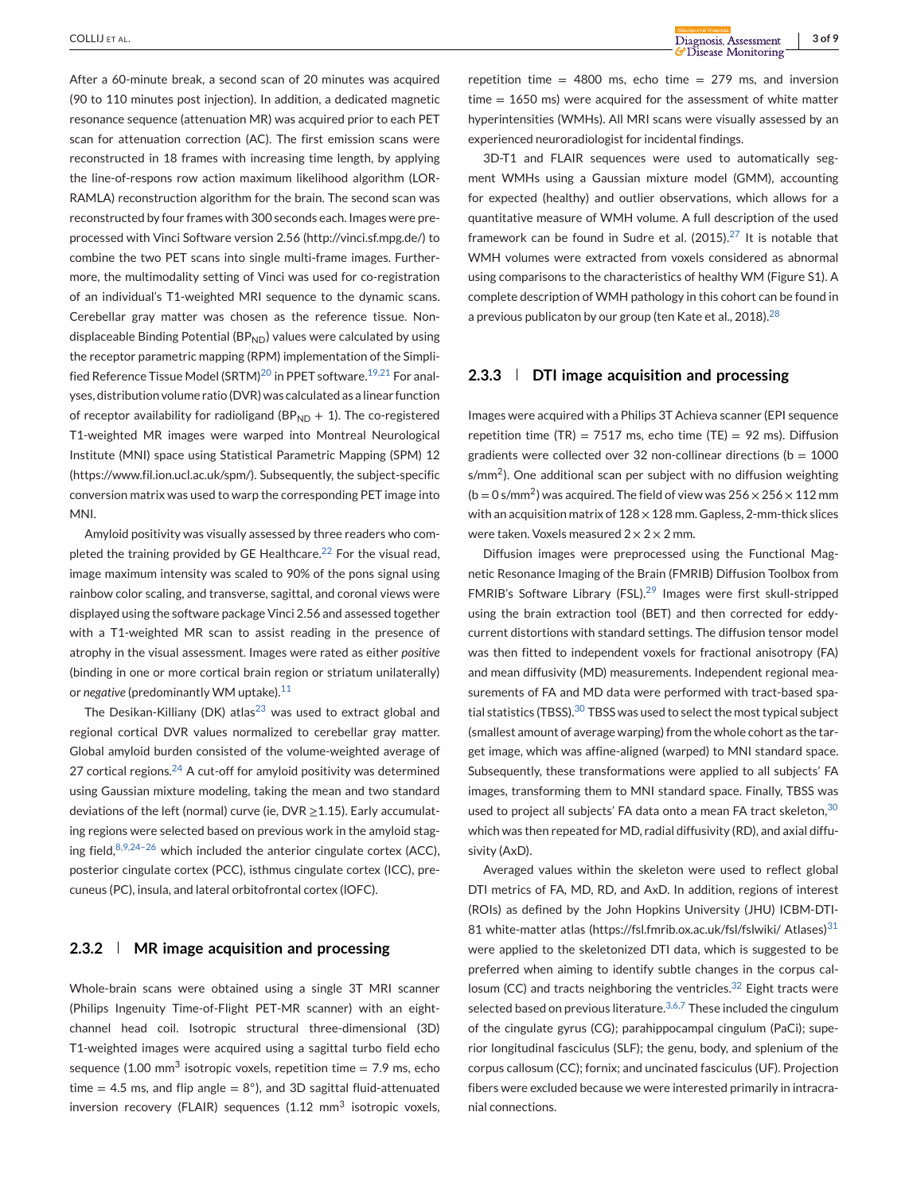After a 60-minute break, a second scan of 20 minutes was acquired (90 to 110 minutes post injection). In addition, a dedicated magnetic resonance sequence (attenuation MR) was acquired prior to each PET scan for attenuation correction (AC). The first emission scans were reconstructed in 18 frames with increasing time length, by applying the line-of-respons row action maximum likelihood algorithm (LOR-RAMLA) reconstruction algorithm for the brain. The second scan was reconstructed by four frames with 300 seconds each. Images were preprocessed with Vinci Software version 2.56 (http://vinci.sf.mpg.de/) to combine the two PET scans into single multi-frame images. Furthermore, the multimodality setting of Vinci was used for co-registration of an individual's T1-weighted MRI sequence to the dynamic scans. Cerebellar gray matter was chosen as the reference tissue. Nondisplaceable Binding Potential (BP $_{ND}$ ) values were calculated by using the receptor parametric mapping (RPM) implementation of the Simpli-fied Reference Tissue Model (SRTM)<sup>[20](#page-7-0)</sup> in PPET software.<sup>[19,21](#page-7-0)</sup> For analyses, distribution volume ratio (DVR) was calculated as a linear function of receptor availability for radioligand ( $BP<sub>ND</sub> + 1$ ). The co-registered T1-weighted MR images were warped into Montreal Neurological Institute (MNI) space using Statistical Parametric Mapping (SPM) 12 (https://www.fil.ion.ucl.ac.uk/spm/). Subsequently, the subject-specific conversion matrix was used to warp the corresponding PET image into MNI.

Amyloid positivity was visually assessed by three readers who com-pleted the training provided by GE Healthcare.<sup>[22](#page-7-0)</sup> For the visual read, image maximum intensity was scaled to 90% of the pons signal using rainbow color scaling, and transverse, sagittal, and coronal views were displayed using the software package Vinci 2.56 and assessed together with a T1-weighted MR scan to assist reading in the presence of atrophy in the visual assessment. Images were rated as either *positive* (binding in one or more cortical brain region or striatum unilaterally) or *negative* (predominantly WM uptake).<sup>[11](#page-7-0)</sup>

The Desikan-Killiany (DK) atlas<sup>23</sup> was used to extract global and regional cortical DVR values normalized to cerebellar gray matter. Global amyloid burden consisted of the volume-weighted average of 27 cortical regions.<sup>[24](#page-7-0)</sup> A cut-off for amyloid positivity was determined using Gaussian mixture modeling, taking the mean and two standard deviations of the left (normal) curve (ie, DVR ≥1.15). Early accumulating regions were selected based on previous work in the amyloid staging field,  $8,9,24-26$  which included the anterior cingulate cortex (ACC), posterior cingulate cortex (PCC), isthmus cingulate cortex (ICC), precuneus (PC), insula, and lateral orbitofrontal cortex (lOFC).

## **2.3.2 MR image acquisition and processing**

Whole-brain scans were obtained using a single 3T MRI scanner (Philips Ingenuity Time-of-Flight PET-MR scanner) with an eightchannel head coil. Isotropic structural three-dimensional (3D) T1-weighted images were acquired using a sagittal turbo field echo sequence (1.00 mm<sup>3</sup> isotropic voxels, repetition time = 7.9 ms, echo time = 4.5 ms, and flip angle =  $8^\circ$ ), and 3D sagittal fluid-attenuated inversion recovery (FLAIR) sequences  $(1.12 \text{ mm}^3)$  isotropic voxels,

repetition time =  $4800$  ms, echo time =  $279$  ms, and inversion  $time = 1650$  ms) were acquired for the assessment of white matter hyperintensities (WMHs). All MRI scans were visually assessed by an experienced neuroradiologist for incidental findings.

3D-T1 and FLAIR sequences were used to automatically segment WMHs using a Gaussian mixture model (GMM), accounting for expected (healthy) and outlier observations, which allows for a quantitative measure of WMH volume. A full description of the used framework can be found in Sudre et al.  $(2015).^{27}$  $(2015).^{27}$  $(2015).^{27}$  It is notable that WMH volumes were extracted from voxels considered as abnormal using comparisons to the characteristics of healthy WM (Figure S1). A complete description of WMH pathology in this cohort can be found in a previous publicaton by our group (ten Kate et al., 2018).<sup>[28](#page-7-0)</sup>

## **2.3.3 DTI image acquisition and processing**

Images were acquired with a Philips 3T Achieva scanner (EPI sequence repetition time (TR) = 7517 ms, echo time (TE) = 92 ms). Diffusion gradients were collected over 32 non-collinear directions ( $b = 1000$  $s/mm<sup>2</sup>$ ). One additional scan per subject with no diffusion weighting  $(b = 0 \text{ s/mm}^2)$  was acquired. The field of view was  $256 \times 256 \times 112 \text{ mm}$ with an acquisition matrix of  $128 \times 128$  mm. Gapless, 2-mm-thick slices were taken. Voxels measured  $2 \times 2 \times 2$  mm.

Diffusion images were preprocessed using the Functional Magnetic Resonance Imaging of the Brain (FMRIB) Diffusion Toolbox from FMRIB's Software Library (FSL).[29](#page-7-0) Images were first skull-stripped using the brain extraction tool (BET) and then corrected for eddycurrent distortions with standard settings. The diffusion tensor model was then fitted to independent voxels for fractional anisotropy (FA) and mean diffusivity (MD) measurements. Independent regional measurements of FA and MD data were performed with tract-based spa-tial statistics (TBSS).<sup>[30](#page-7-0)</sup> TBSS was used to select the most typical subject (smallest amount of average warping) from the whole cohort as the target image, which was affine-aligned (warped) to MNI standard space. Subsequently, these transformations were applied to all subjects' FA images, transforming them to MNI standard space. Finally, TBSS was used to project all subjects' FA data onto a mean FA tract skeleton, [30](#page-7-0) which was then repeated for MD, radial diffusivity (RD), and axial diffusivity (AxD).

Averaged values within the skeleton were used to reflect global DTI metrics of FA, MD, RD, and AxD. In addition, regions of interest (ROIs) as defined by the John Hopkins University (JHU) ICBM-DTI-81 white-matter atlas (https://fsl.fmrib.ox.ac.uk/fsl/fslwiki/ Atlases)<sup>[31](#page-7-0)</sup> were applied to the skeletonized DTI data, which is suggested to be preferred when aiming to identify subtle changes in the corpus callosum (CC) and tracts neighboring the ventricles. $32$  Eight tracts were selected based on previous literature.<sup>[3,6,7](#page-7-0)</sup> These included the cingulum of the cingulate gyrus (CG); parahippocampal cingulum (PaCi); superior longitudinal fasciculus (SLF); the genu, body, and splenium of the corpus callosum (CC); fornix; and uncinated fasciculus (UF). Projection fibers were excluded because we were interested primarily in intracranial connections.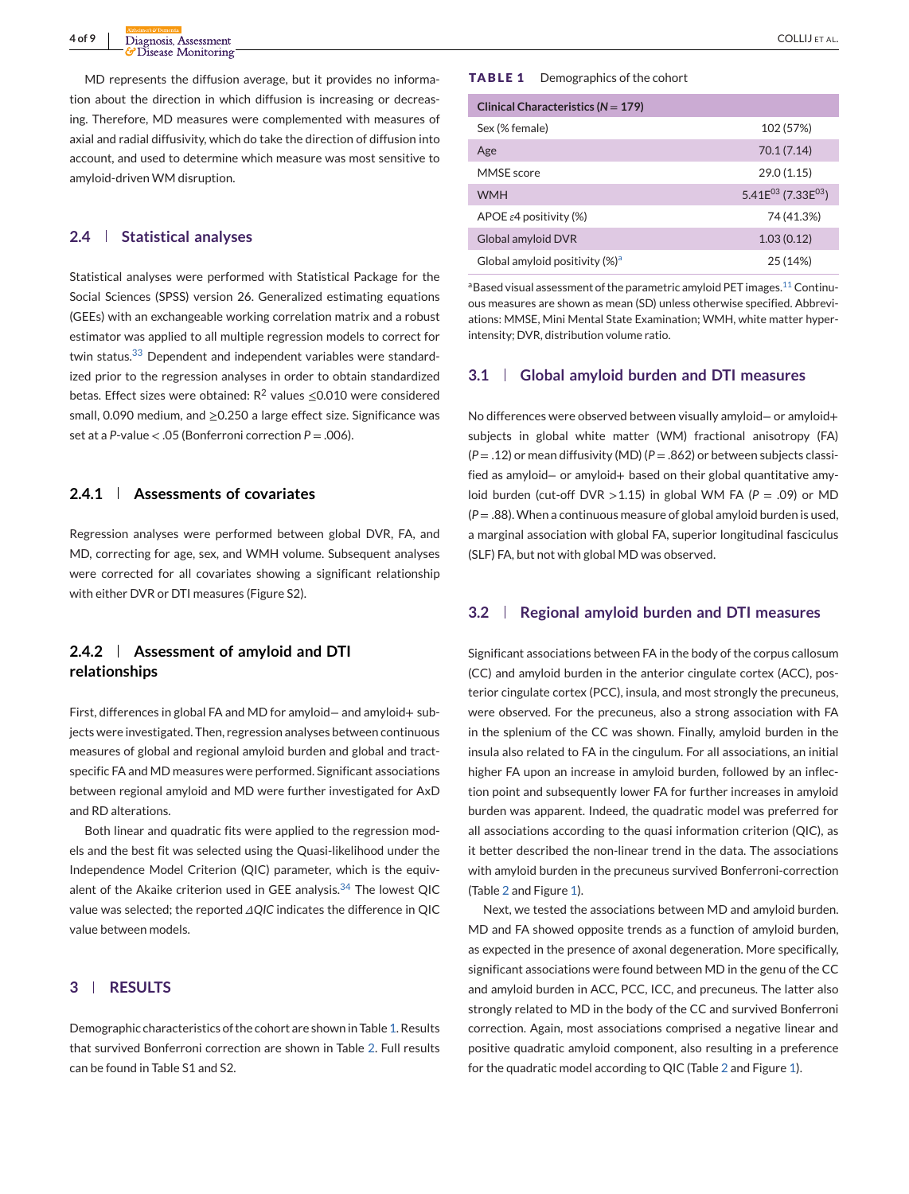MD represents the diffusion average, but it provides no information about the direction in which diffusion is increasing or decreasing. Therefore, MD measures were complemented with measures of axial and radial diffusivity, which do take the direction of diffusion into account, and used to determine which measure was most sensitive to amyloid-driven WM disruption.

#### **2.4 Statistical analyses**

Statistical analyses were performed with Statistical Package for the Social Sciences (SPSS) version 26. Generalized estimating equations (GEEs) with an exchangeable working correlation matrix and a robust estimator was applied to all multiple regression models to correct for twin status.<sup>[33](#page-7-0)</sup> Dependent and independent variables were standardized prior to the regression analyses in order to obtain standardized betas. Effect sizes were obtained:  $R^2$  values  $\leq$ 0.010 were considered small, 0.090 medium, and ≥0.250 a large effect size. Significance was set at a *P*-value < .05 (Bonferroni correction *P* = .006).

#### **2.4.1 Assessments of covariates**

Regression analyses were performed between global DVR, FA, and MD, correcting for age, sex, and WMH volume. Subsequent analyses were corrected for all covariates showing a significant relationship with either DVR or DTI measures (Figure S2).

## **2.4.2 Assessment of amyloid and DTI relationships**

First, differences in global FA and MD for amyloid− and amyloid+ subjects were investigated. Then, regression analyses between continuous measures of global and regional amyloid burden and global and tractspecific FA and MD measures were performed. Significant associations between regional amyloid and MD were further investigated for AxD and RD alterations.

Both linear and quadratic fits were applied to the regression models and the best fit was selected using the Quasi-likelihood under the Independence Model Criterion (QIC) parameter, which is the equiv-alent of the Akaike criterion used in GEE analysis.<sup>[34](#page-7-0)</sup> The lowest QIC value was selected; the reported *ΔQIC* indicates the difference in QIC value between models.

## **3 RESULTS**

Demographic characteristics of the cohort are shown in Table 1. Results that survived Bonferroni correction are shown in Table [2.](#page-4-0) Full results can be found in Table S1 and S2.

#### **TABLE 1** Demographics of the cohort

| Clinical Characteristics ( $N = 179$ )     |                                |  |  |  |  |  |
|--------------------------------------------|--------------------------------|--|--|--|--|--|
| Sex (% female)                             | 102 (57%)                      |  |  |  |  |  |
| Age                                        | 70.1 (7.14)                    |  |  |  |  |  |
| MMSE score                                 | 29.0(1.15)                     |  |  |  |  |  |
| <b>WMH</b>                                 | 5.41 $E^{03}$ (7.33 $E^{03}$ ) |  |  |  |  |  |
| APOE $\varepsilon$ 4 positivity (%)        | 74 (41.3%)                     |  |  |  |  |  |
| Global amyloid DVR                         | 1.03(0.12)                     |  |  |  |  |  |
| Global amyloid positivity (%) <sup>a</sup> | 25 (14%)                       |  |  |  |  |  |

aBased visual assessment of the parametric amyloid PET images.<sup>11</sup> Continuous measures are shown as mean (SD) unless otherwise specified. Abbreviations: MMSE, Mini Mental State Examination; WMH, white matter hyperintensity; DVR, distribution volume ratio.

#### **3.1 Global amyloid burden and DTI measures**

No differences were observed between visually amyloid− or amyloid+ subjects in global white matter (WM) fractional anisotropy (FA) (*P* = .12) or mean diffusivity (MD) (*P* = .862) or between subjects classified as amyloid− or amyloid+ based on their global quantitative amyloid burden (cut-off DVR >1.15) in global WM FA (*P* = .09) or MD  $(P=.88)$ . When a continuous measure of global amyloid burden is used, a marginal association with global FA, superior longitudinal fasciculus (SLF) FA, but not with global MD was observed.

#### **3.2 Regional amyloid burden and DTI measures**

Significant associations between FA in the body of the corpus callosum (CC) and amyloid burden in the anterior cingulate cortex (ACC), posterior cingulate cortex (PCC), insula, and most strongly the precuneus, were observed. For the precuneus, also a strong association with FA in the splenium of the CC was shown. Finally, amyloid burden in the insula also related to FA in the cingulum. For all associations, an initial higher FA upon an increase in amyloid burden, followed by an inflection point and subsequently lower FA for further increases in amyloid burden was apparent. Indeed, the quadratic model was preferred for all associations according to the quasi information criterion (QIC), as it better described the non-linear trend in the data. The associations with amyloid burden in the precuneus survived Bonferroni-correction (Table [2](#page-4-0) and Figure [1\)](#page-4-0).

Next, we tested the associations between MD and amyloid burden. MD and FA showed opposite trends as a function of amyloid burden, as expected in the presence of axonal degeneration. More specifically, significant associations were found between MD in the genu of the CC and amyloid burden in ACC, PCC, ICC, and precuneus. The latter also strongly related to MD in the body of the CC and survived Bonferroni correction. Again, most associations comprised a negative linear and positive quadratic amyloid component, also resulting in a preference for the quadratic model according to QIC (Table [2](#page-4-0) and Figure [1\)](#page-4-0).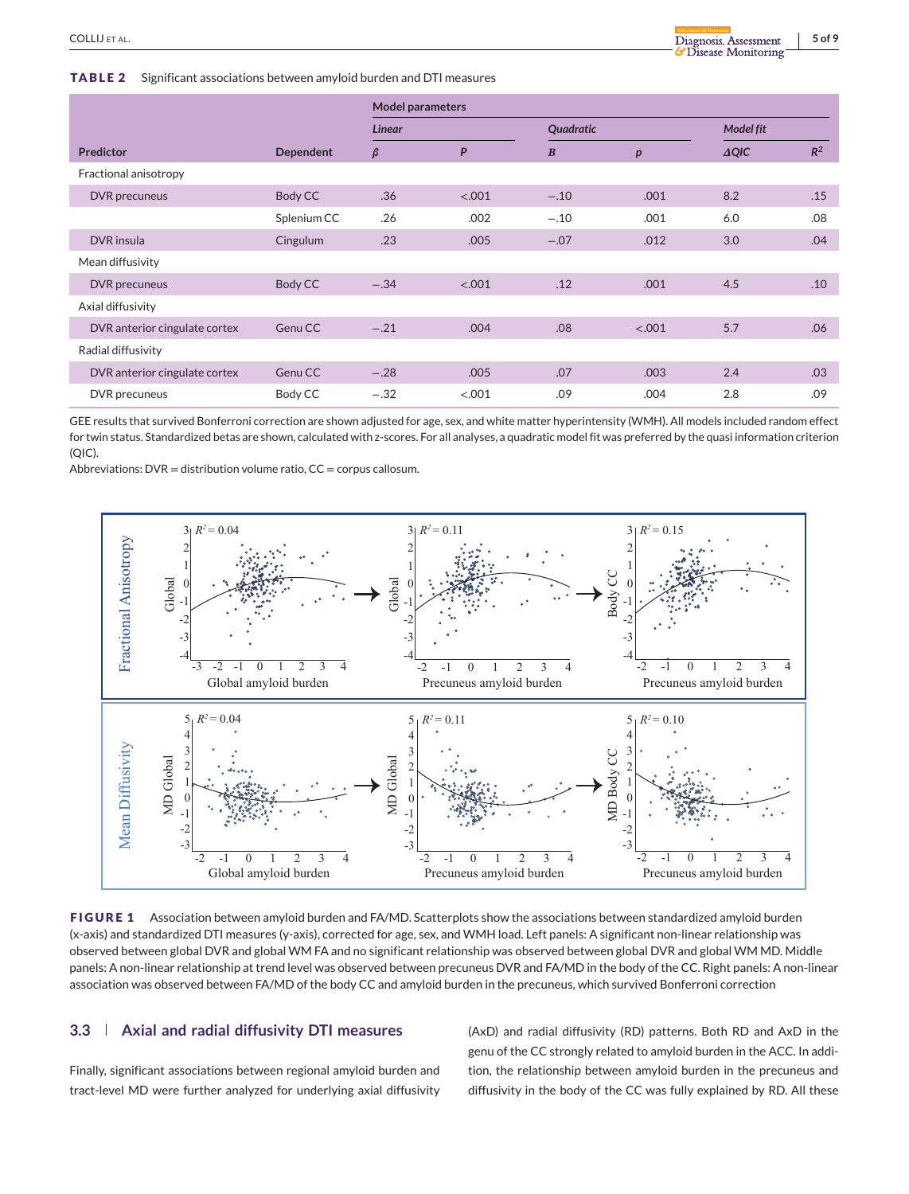<span id="page-4-0"></span>**TABLE 2** Significant associations between amyloid burden and DTI measures

|                               |             | <b>Model parameters</b> |        |                  |        |                  |       |  |  |
|-------------------------------|-------------|-------------------------|--------|------------------|--------|------------------|-------|--|--|
|                               |             | Linear                  |        | Quadratic        |        | <b>Model fit</b> |       |  |  |
| <b>Predictor</b>              | Dependent   | $\beta$                 | P      | $\boldsymbol{B}$ | p      | $\triangle QIC$  | $R^2$ |  |  |
| Fractional anisotropy         |             |                         |        |                  |        |                  |       |  |  |
| DVR precuneus                 | Body CC     | .36                     | < .001 | $-.10$           | .001   | 8.2              | .15   |  |  |
|                               | Splenium CC | .26                     | .002   | $-.10$           | .001   | 6.0              | .08   |  |  |
| DVR insula                    | Cingulum    | .23                     | .005   | $-.07$           | .012   | 3.0              | .04   |  |  |
| Mean diffusivity              |             |                         |        |                  |        |                  |       |  |  |
| DVR precuneus                 | Body CC     | $-.34$                  | < .001 | .12              | .001   | 4.5              | .10   |  |  |
| Axial diffusivity             |             |                         |        |                  |        |                  |       |  |  |
| DVR anterior cingulate cortex | Genu CC     | $-.21$                  | .004   | .08              | < .001 | 5.7              | .06   |  |  |
| Radial diffusivity            |             |                         |        |                  |        |                  |       |  |  |
| DVR anterior cingulate cortex | Genu CC     | $-.28$                  | .005   | .07              | .003   | 2.4              | .03   |  |  |
| DVR precuneus                 | Body CC     | $-.32$                  | < .001 | .09              | .004   | 2.8              | .09   |  |  |

GEE results that survived Bonferroni correction are shown adjusted for age, sex, and white matter hyperintensity (WMH). All models included random effect for twin status. Standardized betas are shown, calculated with z-scores. For all analyses, a quadratic model fit was preferred by the quasi information criterion (QIC).

Abbreviations:  $DVR =$  distribution volume ratio,  $CC =$  corpus callosum.



**FIGURE 1** Association between amyloid burden and FA/MD. Scatterplots show the associations between standardized amyloid burden (x-axis) and standardized DTI measures (y-axis), corrected for age, sex, and WMH load. Left panels: A significant non-linear relationship was observed between global DVR and global WM FA and no significant relationship was observed between global DVR and global WM MD. Middle panels: A non-linear relationship at trend level was observed between precuneus DVR and FA/MD in the body of the CC. Right panels: A non-linear association was observed between FA/MD of the body CC and amyloid burden in the precuneus, which survived Bonferroni correction

#### **3.3 Axial and radial diffusivity DTI measures**

Finally, significant associations between regional amyloid burden and tract-level MD were further analyzed for underlying axial diffusivity (AxD) and radial diffusivity (RD) patterns. Both RD and AxD in the genu of the CC strongly related to amyloid burden in the ACC. In addition, the relationship between amyloid burden in the precuneus and diffusivity in the body of the CC was fully explained by RD. All these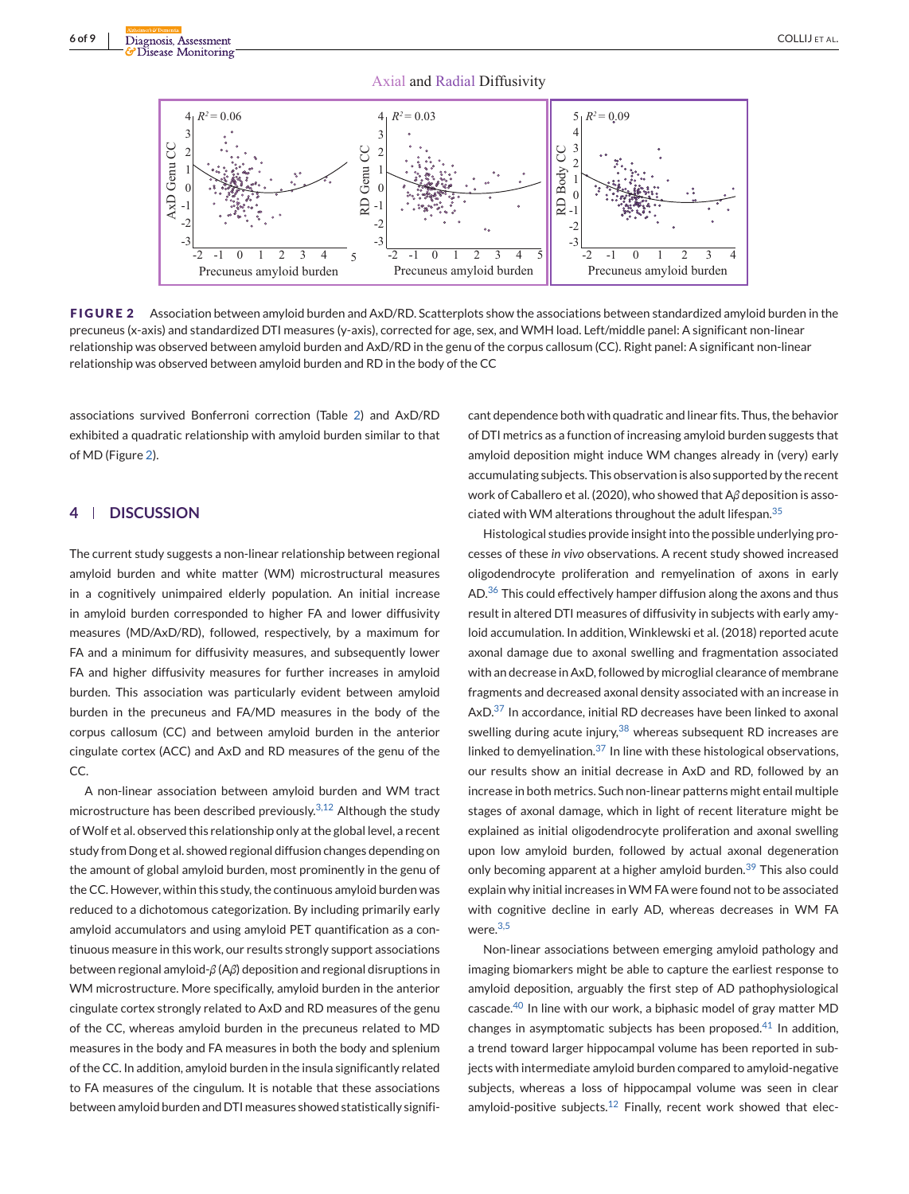

**FIGURE 2** Association between amyloid burden and AxD/RD. Scatterplots show the associations between standardized amyloid burden in the precuneus (x-axis) and standardized DTI measures (y-axis), corrected for age, sex, and WMH load. Left/middle panel: A significant non-linear relationship was observed between amyloid burden and AxD/RD in the genu of the corpus callosum (CC). Right panel: A significant non-linear relationship was observed between amyloid burden and RD in the body of the CC

associations survived Bonferroni correction (Table [2\)](#page-4-0) and AxD/RD exhibited a quadratic relationship with amyloid burden similar to that of MD (Figure 2).

## **4 DISCUSSION**

The current study suggests a non-linear relationship between regional amyloid burden and white matter (WM) microstructural measures in a cognitively unimpaired elderly population. An initial increase in amyloid burden corresponded to higher FA and lower diffusivity measures (MD/AxD/RD), followed, respectively, by a maximum for FA and a minimum for diffusivity measures, and subsequently lower FA and higher diffusivity measures for further increases in amyloid burden. This association was particularly evident between amyloid burden in the precuneus and FA/MD measures in the body of the corpus callosum (CC) and between amyloid burden in the anterior cingulate cortex (ACC) and AxD and RD measures of the genu of the CC.

A non-linear association between amyloid burden and WM tract microstructure has been described previously.<sup>[3,12](#page-7-0)</sup> Although the study ofWolf et al. observed this relationship only at the global level, a recent study from Dong et al. showed regional diffusion changes depending on the amount of global amyloid burden, most prominently in the genu of the CC. However, within this study, the continuous amyloid burden was reduced to a dichotomous categorization. By including primarily early amyloid accumulators and using amyloid PET quantification as a continuous measure in this work, our results strongly support associations between regional amyloid-*β* (A*β*) deposition and regional disruptions in WM microstructure. More specifically, amyloid burden in the anterior cingulate cortex strongly related to AxD and RD measures of the genu of the CC, whereas amyloid burden in the precuneus related to MD measures in the body and FA measures in both the body and splenium of the CC. In addition, amyloid burden in the insula significantly related to FA measures of the cingulum. It is notable that these associations between amyloid burden and DTI measures showed statistically signifi-

cant dependence both with quadratic and linear fits. Thus, the behavior of DTI metrics as a function of increasing amyloid burden suggests that amyloid deposition might induce WM changes already in (very) early accumulating subjects. This observation is also supported by the recent work of Caballero et al. (2020), who showed that A*β* deposition is associated with WM alterations throughout the adult lifespan.  $35$ 

Histological studies provide insight into the possible underlying processes of these *in vivo* observations. A recent study showed increased oligodendrocyte proliferation and remyelination of axons in early AD.<sup>[36](#page-7-0)</sup> This could effectively hamper diffusion along the axons and thus result in altered DTI measures of diffusivity in subjects with early amyloid accumulation. In addition, Winklewski et al. (2018) reported acute axonal damage due to axonal swelling and fragmentation associated with an decrease in AxD, followed by microglial clearance of membrane fragments and decreased axonal density associated with an increase in AxD.<sup>[37](#page-7-0)</sup> In accordance, initial RD decreases have been linked to axonal swelling during acute injury,  $38$  whereas subsequent RD increases are linked to demyelination. $37$  In line with these histological observations, our results show an initial decrease in AxD and RD, followed by an increase in both metrics. Such non-linear patterns might entail multiple stages of axonal damage, which in light of recent literature might be explained as initial oligodendrocyte proliferation and axonal swelling upon low amyloid burden, followed by actual axonal degeneration only becoming apparent at a higher amyloid burden.<sup>[39](#page-7-0)</sup> This also could explain why initial increases in WM FA were found not to be associated with cognitive decline in early AD, whereas decreases in WM FA were.<sup>[3,5](#page-7-0)</sup>

Non-linear associations between emerging amyloid pathology and imaging biomarkers might be able to capture the earliest response to amyloid deposition, arguably the first step of AD pathophysiological cascade.<sup>[40](#page-8-0)</sup> In line with our work, a biphasic model of gray matter MD changes in asymptomatic subjects has been proposed. $41$  In addition, a trend toward larger hippocampal volume has been reported in subjects with intermediate amyloid burden compared to amyloid-negative subjects, whereas a loss of hippocampal volume was seen in clear amyloid-positive subjects.<sup>[12](#page-7-0)</sup> Finally, recent work showed that elec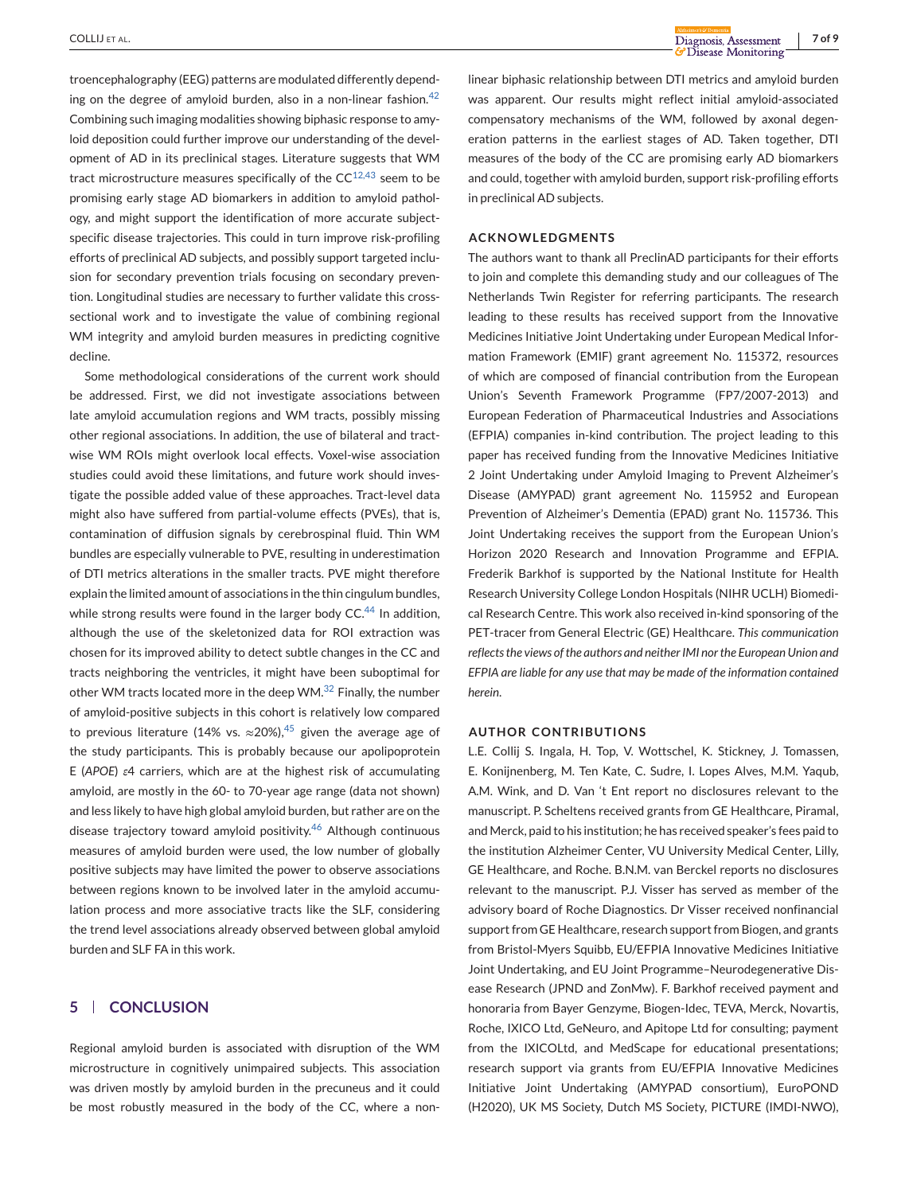troencephalography (EEG) patterns are modulated differently depending on the degree of amyloid burden, also in a non-linear fashion. $42$ Combining such imaging modalities showing biphasic response to amyloid deposition could further improve our understanding of the development of AD in its preclinical stages. Literature suggests that WM tract microstructure measures specifically of the  $CC^{12,43}$  $CC^{12,43}$  $CC^{12,43}$  seem to be promising early stage AD biomarkers in addition to amyloid pathology, and might support the identification of more accurate subjectspecific disease trajectories. This could in turn improve risk-profiling efforts of preclinical AD subjects, and possibly support targeted inclusion for secondary prevention trials focusing on secondary prevention. Longitudinal studies are necessary to further validate this crosssectional work and to investigate the value of combining regional WM integrity and amyloid burden measures in predicting cognitive decline.

Some methodological considerations of the current work should be addressed. First, we did not investigate associations between late amyloid accumulation regions and WM tracts, possibly missing other regional associations. In addition, the use of bilateral and tractwise WM ROIs might overlook local effects. Voxel-wise association studies could avoid these limitations, and future work should investigate the possible added value of these approaches. Tract-level data might also have suffered from partial-volume effects (PVEs), that is, contamination of diffusion signals by cerebrospinal fluid. Thin WM bundles are especially vulnerable to PVE, resulting in underestimation of DTI metrics alterations in the smaller tracts. PVE might therefore explain the limited amount of associations in the thin cingulum bundles, while strong results were found in the larger body  $CC<sup>44</sup>$  $CC<sup>44</sup>$  $CC<sup>44</sup>$  In addition, although the use of the skeletonized data for ROI extraction was chosen for its improved ability to detect subtle changes in the CC and tracts neighboring the ventricles, it might have been suboptimal for other WM tracts located more in the deep WM.<sup>[32](#page-7-0)</sup> Finally, the number of amyloid-positive subjects in this cohort is relatively low compared to previous literature (14% vs.  $\approx$  20%),<sup>[45](#page-8-0)</sup> given the average age of the study participants. This is probably because our apolipoprotein E (*APOE*) *ε*4 carriers, which are at the highest risk of accumulating amyloid, are mostly in the 60- to 70-year age range (data not shown) and less likely to have high global amyloid burden, but rather are on the disease trajectory toward amyloid positivity. $46$  Although continuous measures of amyloid burden were used, the low number of globally positive subjects may have limited the power to observe associations between regions known to be involved later in the amyloid accumulation process and more associative tracts like the SLF, considering the trend level associations already observed between global amyloid burden and SLF FA in this work.

#### **5 CONCLUSION**

Regional amyloid burden is associated with disruption of the WM microstructure in cognitively unimpaired subjects. This association was driven mostly by amyloid burden in the precuneus and it could be most robustly measured in the body of the CC, where a nonlinear biphasic relationship between DTI metrics and amyloid burden was apparent. Our results might reflect initial amyloid-associated compensatory mechanisms of the WM, followed by axonal degeneration patterns in the earliest stages of AD. Taken together, DTI measures of the body of the CC are promising early AD biomarkers and could, together with amyloid burden, support risk-profiling efforts in preclinical AD subjects.

#### **ACKNOWLEDGMENTS**

The authors want to thank all PreclinAD participants for their efforts to join and complete this demanding study and our colleagues of The Netherlands Twin Register for referring participants. The research leading to these results has received support from the Innovative Medicines Initiative Joint Undertaking under European Medical Information Framework (EMIF) grant agreement No. 115372, resources of which are composed of financial contribution from the European Union's Seventh Framework Programme (FP7/2007-2013) and European Federation of Pharmaceutical Industries and Associations (EFPIA) companies in-kind contribution. The project leading to this paper has received funding from the Innovative Medicines Initiative 2 Joint Undertaking under Amyloid Imaging to Prevent Alzheimer's Disease (AMYPAD) grant agreement No. 115952 and European Prevention of Alzheimer's Dementia (EPAD) grant No. 115736. This Joint Undertaking receives the support from the European Union's Horizon 2020 Research and Innovation Programme and EFPIA. Frederik Barkhof is supported by the National Institute for Health Research University College London Hospitals (NIHR UCLH) Biomedical Research Centre. This work also received in-kind sponsoring of the PET-tracer from General Electric (GE) Healthcare. *This communication reflects the views of the authors and neither IMI nor the European Union and EFPIA are liable for any use that may be made of the information contained herein*.

#### **AUTHOR CONTRIBUTIONS**

L.E. Collij S. Ingala, H. Top, V. Wottschel, K. Stickney, J. Tomassen, E. Konijnenberg, M. Ten Kate, C. Sudre, I. Lopes Alves, M.M. Yaqub, A.M. Wink, and D. Van 't Ent report no disclosures relevant to the manuscript. P. Scheltens received grants from GE Healthcare, Piramal, and Merck, paid to his institution; he has received speaker's fees paid to the institution Alzheimer Center, VU University Medical Center, Lilly, GE Healthcare, and Roche. B.N.M. van Berckel reports no disclosures relevant to the manuscript. P.J. Visser has served as member of the advisory board of Roche Diagnostics. Dr Visser received nonfinancial support from GE Healthcare, research support from Biogen, and grants from Bristol-Myers Squibb, EU/EFPIA Innovative Medicines Initiative Joint Undertaking, and EU Joint Programme–Neurodegenerative Disease Research (JPND and ZonMw). F. Barkhof received payment and honoraria from Bayer Genzyme, Biogen-Idec, TEVA, Merck, Novartis, Roche, IXICO Ltd, GeNeuro, and Apitope Ltd for consulting; payment from the IXICOLtd, and MedScape for educational presentations; research support via grants from EU/EFPIA Innovative Medicines Initiative Joint Undertaking (AMYPAD consortium), EuroPOND (H2020), UK MS Society, Dutch MS Society, PICTURE (IMDI-NWO),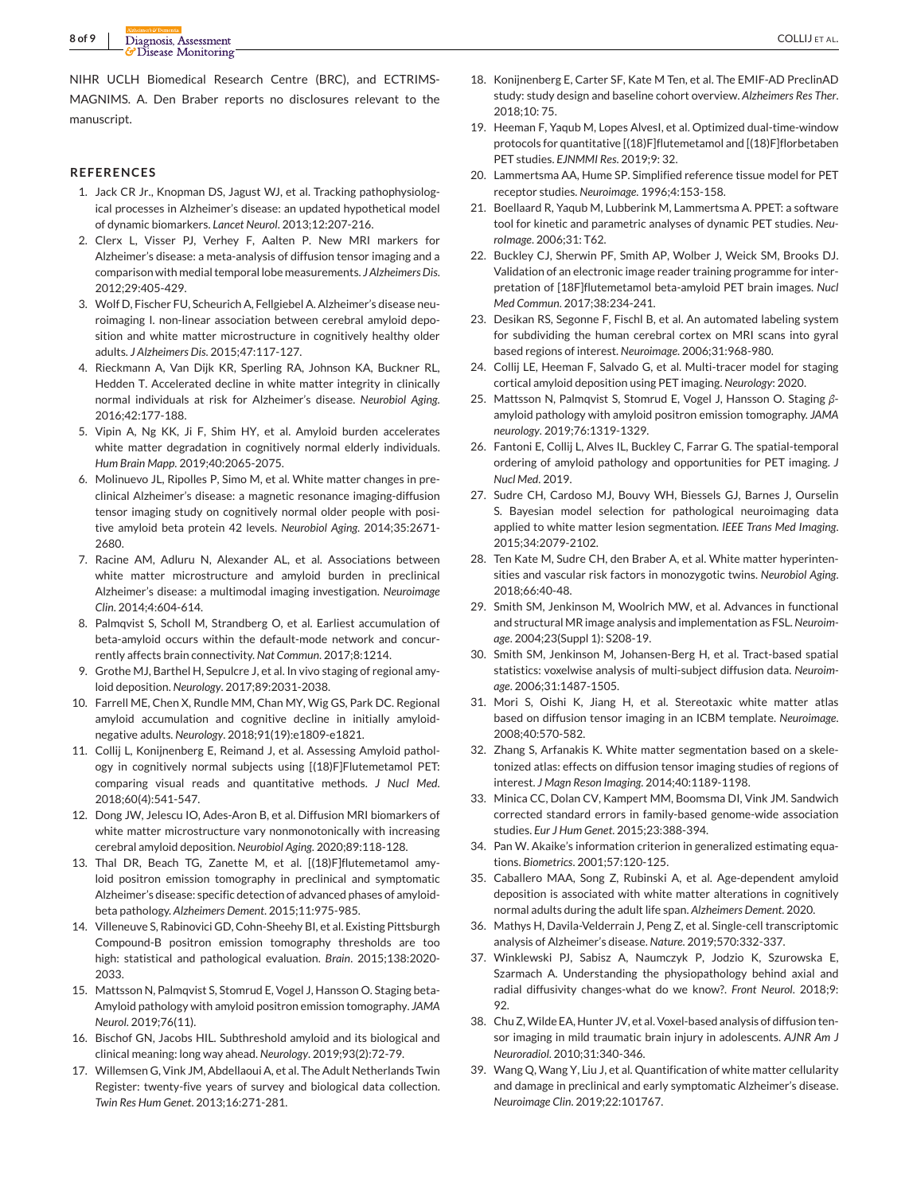<span id="page-7-0"></span>NIHR UCLH Biomedical Research Centre (BRC), and ECTRIMS-MAGNIMS. A. Den Braber reports no disclosures relevant to the manuscript.

#### **REFERENCES**

- 1. Jack CR Jr., Knopman DS, Jagust WJ, et al. Tracking pathophysiological processes in Alzheimer's disease: an updated hypothetical model of dynamic biomarkers. *Lancet Neurol*. 2013;12:207-216.
- 2. Clerx L, Visser PJ, Verhey F, Aalten P. New MRI markers for Alzheimer's disease: a meta-analysis of diffusion tensor imaging and a comparison with medial temporal lobe measurements. *J Alzheimers Dis*. 2012;29:405-429.
- 3. Wolf D, Fischer FU, Scheurich A, Fellgiebel A. Alzheimer's disease neuroimaging I. non-linear association between cerebral amyloid deposition and white matter microstructure in cognitively healthy older adults. *J Alzheimers Dis*. 2015;47:117-127.
- 4. Rieckmann A, Van Dijk KR, Sperling RA, Johnson KA, Buckner RL, Hedden T. Accelerated decline in white matter integrity in clinically normal individuals at risk for Alzheimer's disease. *Neurobiol Aging*. 2016;42:177-188.
- 5. Vipin A, Ng KK, Ji F, Shim HY, et al. Amyloid burden accelerates white matter degradation in cognitively normal elderly individuals. *Hum Brain Mapp*. 2019;40:2065-2075.
- 6. Molinuevo JL, Ripolles P, Simo M, et al. White matter changes in preclinical Alzheimer's disease: a magnetic resonance imaging-diffusion tensor imaging study on cognitively normal older people with positive amyloid beta protein 42 levels. *Neurobiol Aging*. 2014;35:2671- 2680.
- 7. Racine AM, Adluru N, Alexander AL, et al. Associations between white matter microstructure and amyloid burden in preclinical Alzheimer's disease: a multimodal imaging investigation. *Neuroimage Clin*. 2014;4:604-614.
- 8. Palmqvist S, Scholl M, Strandberg O, et al. Earliest accumulation of beta-amyloid occurs within the default-mode network and concurrently affects brain connectivity. *Nat Commun*. 2017;8:1214.
- 9. Grothe MJ, Barthel H, Sepulcre J, et al. In vivo staging of regional amyloid deposition. *Neurology*. 2017;89:2031-2038.
- 10. Farrell ME, Chen X, Rundle MM, Chan MY, Wig GS, Park DC. Regional amyloid accumulation and cognitive decline in initially amyloidnegative adults. *Neurology*. 2018;91(19):e1809-e1821.
- 11. Collij L, Konijnenberg E, Reimand J, et al. Assessing Amyloid pathology in cognitively normal subjects using [(18)F]Flutemetamol PET: comparing visual reads and quantitative methods. *J Nucl Med*. 2018;60(4):541-547.
- 12. Dong JW, Jelescu IO, Ades-Aron B, et al. Diffusion MRI biomarkers of white matter microstructure vary nonmonotonically with increasing cerebral amyloid deposition. *Neurobiol Aging*. 2020;89:118-128.
- 13. Thal DR, Beach TG, Zanette M, et al. [(18)F]flutemetamol amyloid positron emission tomography in preclinical and symptomatic Alzheimer's disease: specific detection of advanced phases of amyloidbeta pathology. *Alzheimers Dement*. 2015;11:975-985.
- 14. Villeneuve S, Rabinovici GD, Cohn-Sheehy BI, et al. Existing Pittsburgh Compound-B positron emission tomography thresholds are too high: statistical and pathological evaluation. *Brain*. 2015;138:2020- 2033.
- 15. Mattsson N, Palmqvist S, Stomrud E, Vogel J, Hansson O. Staging beta-Amyloid pathology with amyloid positron emission tomography. *JAMA Neurol*. 2019;76(11).
- 16. Bischof GN, Jacobs HIL. Subthreshold amyloid and its biological and clinical meaning: long way ahead. *Neurology*. 2019;93(2):72-79.
- 17. Willemsen G, Vink JM, Abdellaoui A, et al. The Adult Netherlands Twin Register: twenty-five years of survey and biological data collection. *Twin Res Hum Genet*. 2013;16:271-281.
- 18. Konijnenberg E, Carter SF, Kate M Ten, et al. The EMIF-AD PreclinAD study: study design and baseline cohort overview. *Alzheimers Res Ther*. 2018;10: 75.
- 19. Heeman F, Yaqub M, Lopes AlvesI, et al. Optimized dual-time-window protocols for quantitative [(18)F]flutemetamol and [(18)F]florbetaben PET studies. *EJNMMI Res*. 2019;9: 32.
- 20. Lammertsma AA, Hume SP. Simplified reference tissue model for PET receptor studies. *Neuroimage*. 1996;4:153-158.
- 21. Boellaard R, Yaqub M, Lubberink M, Lammertsma A. PPET: a software tool for kinetic and parametric analyses of dynamic PET studies. *NeuroImage*. 2006;31: T62.
- 22. Buckley CJ, Sherwin PF, Smith AP, Wolber J, Weick SM, Brooks DJ. Validation of an electronic image reader training programme for interpretation of [18F]flutemetamol beta-amyloid PET brain images. *Nucl Med Commun*. 2017;38:234-241.
- 23. Desikan RS, Segonne F, Fischl B, et al. An automated labeling system for subdividing the human cerebral cortex on MRI scans into gyral based regions of interest. *Neuroimage*. 2006;31:968-980.
- 24. Collij LE, Heeman F, Salvado G, et al. Multi-tracer model for staging cortical amyloid deposition using PET imaging. *Neurology*: 2020.
- 25. Mattsson N, Palmqvist S, Stomrud E, Vogel J, Hansson O. Staging *β*amyloid pathology with amyloid positron emission tomography. *JAMA neurology*. 2019;76:1319-1329.
- 26. Fantoni E, Collij L, Alves IL, Buckley C, Farrar G. The spatial-temporal ordering of amyloid pathology and opportunities for PET imaging. *J Nucl Med*. 2019.
- 27. Sudre CH, Cardoso MJ, Bouvy WH, Biessels GJ, Barnes J, Ourselin S. Bayesian model selection for pathological neuroimaging data applied to white matter lesion segmentation. *IEEE Trans Med Imaging*. 2015;34:2079-2102.
- 28. Ten Kate M, Sudre CH, den Braber A, et al. White matter hyperintensities and vascular risk factors in monozygotic twins. *Neurobiol Aging*. 2018;66:40-48.
- 29. Smith SM, Jenkinson M, Woolrich MW, et al. Advances in functional and structural MR image analysis and implementation as FSL.*Neuroimage*. 2004;23(Suppl 1): S208-19.
- 30. Smith SM, Jenkinson M, Johansen-Berg H, et al. Tract-based spatial statistics: voxelwise analysis of multi-subject diffusion data. *Neuroimage*. 2006;31:1487-1505.
- 31. Mori S, Oishi K, Jiang H, et al. Stereotaxic white matter atlas based on diffusion tensor imaging in an ICBM template. *Neuroimage*. 2008;40:570-582.
- 32. Zhang S, Arfanakis K. White matter segmentation based on a skeletonized atlas: effects on diffusion tensor imaging studies of regions of interest. *J Magn Reson Imaging*. 2014;40:1189-1198.
- 33. Minica CC, Dolan CV, Kampert MM, Boomsma DI, Vink JM. Sandwich corrected standard errors in family-based genome-wide association studies. *Eur J Hum Genet*. 2015;23:388-394.
- 34. Pan W. Akaike's information criterion in generalized estimating equations. *Biometrics*. 2001;57:120-125.
- 35. Caballero MAA, Song Z, Rubinski A, et al. Age-dependent amyloid deposition is associated with white matter alterations in cognitively normal adults during the adult life span. *Alzheimers Dement*. 2020.
- 36. Mathys H, Davila-Velderrain J, Peng Z, et al. Single-cell transcriptomic analysis of Alzheimer's disease. *Nature*. 2019;570:332-337.
- 37. Winklewski PJ, Sabisz A, Naumczyk P, Jodzio K, Szurowska E, Szarmach A. Understanding the physiopathology behind axial and radial diffusivity changes-what do we know?. *Front Neurol*. 2018;9: 92.
- 38. Chu Z,Wilde EA, Hunter JV, et al. Voxel-based analysis of diffusion tensor imaging in mild traumatic brain injury in adolescents. *AJNR Am J Neuroradiol*. 2010;31:340-346.
- 39. Wang Q, Wang Y, Liu J, et al. Quantification of white matter cellularity and damage in preclinical and early symptomatic Alzheimer's disease. *Neuroimage Clin*. 2019;22:101767.